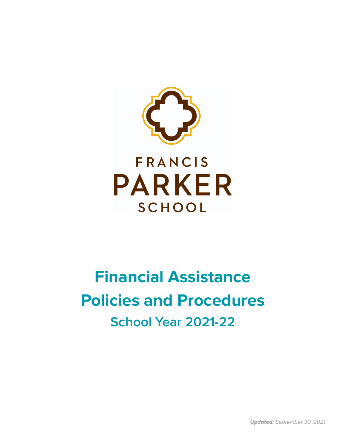

# **Financial Assistance Policies and Procedures School Year 2021-22**

**Updated:** September 30, 2021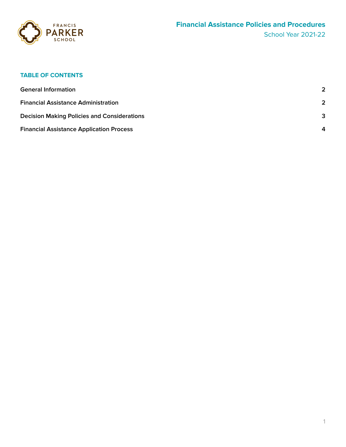

# **TABLE OF CONTENTS**

| <b>General Information</b>                         | $\mathbf{c}$     |
|----------------------------------------------------|------------------|
| <b>Financial Assistance Administration</b>         | $\mathbf{c}$     |
| <b>Decision Making Policies and Considerations</b> | 3                |
| <b>Financial Assistance Application Process</b>    | $\boldsymbol{A}$ |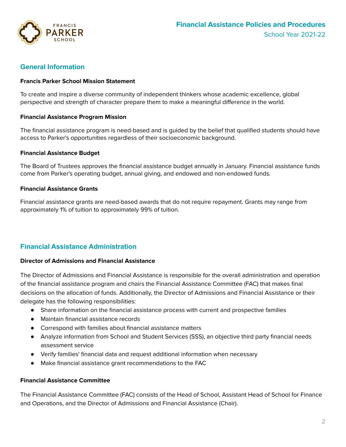

## <span id="page-2-0"></span>**General Information**

#### **Francis Parker School Mission Statement**

To create and inspire a diverse community of independent thinkers whose academic excellence, global perspective and strength of character prepare them to make a meaningful difference in the world.

#### **Financial Assistance Program Mission**

The financial assistance program is need-based and is guided by the belief that qualified students should have access to Parker's opportunities regardless of their socioeconomic background.

#### **Financial Assistance Budget**

The Board of Trustees approves the financial assistance budget annually in January. Financial assistance funds come from Parker's operating budget, annual giving, and endowed and non-endowed funds.

#### **Financial Assistance Grants**

<span id="page-2-1"></span>Financial assistance grants are need-based awards that do not require repayment. Grants may range from approximately 1% of tuition to approximately 99% of tuition.

# **Financial Assistance Administration**

#### **Director of Admissions and Financial Assistance**

The Director of Admissions and Financial Assistance is responsible for the overall administration and operation of the financial assistance program and chairs the Financial Assistance Committee (FAC) that makes final decisions on the allocation of funds. Additionally, the Director of Admissions and Financial Assistance or their delegate has the following responsibilities:

- Share information on the financial assistance process with current and prospective families
- Maintain financial assistance records
- Correspond with families about financial assistance matters
- Analyze information from School and Student Services (SSS), an objective third party financial needs assessment service
- Verify families' financial data and request additional information when necessary
- Make financial assistance grant recommendations to the FAC

#### **Financial Assistance Committee**

The Financial Assistance Committee (FAC) consists of the Head of School, Assistant Head of School for Finance and Operations, and the Director of Admissions and Financial Assistance (Chair).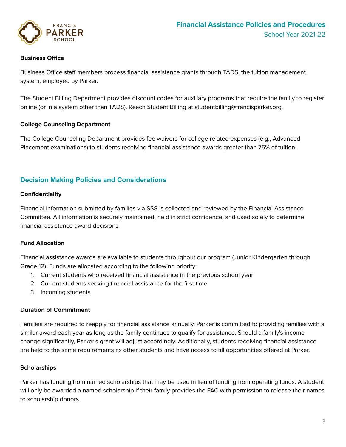

#### **Business Office**

Business Office staff members process financial assistance grants through TADS, the tuition management system, employed by Parker.

The Student Billing Department provides discount codes for auxiliary programs that require the family to register online (or in a system other than TADS). Reach Student Billing at studentbilling@francisparker.org.

#### **College Counseling Department**

The College Counseling Department provides fee waivers for college related expenses (e.g., Advanced Placement examinations) to students receiving financial assistance awards greater than 75% of tuition.

### **Decision Making Policies and Considerations**

#### **Confidentiality**

Financial information submitted by families via SSS is collected and reviewed by the Financial Assistance Committee. All information is securely maintained, held in strict confidence, and used solely to determine financial assistance award decisions.

#### **Fund Allocation**

Financial assistance awards are available to students throughout our program (Junior Kindergarten through Grade 12). Funds are allocated according to the following priority:

- 1. Current students who received financial assistance in the previous school year
- 2. Current students seeking financial assistance for the first time
- 3. Incoming students

#### **Duration of Commitment**

Families are required to reapply for financial assistance annually. Parker is committed to providing families with a similar award each year as long as the family continues to qualify for assistance. Should a family's income change significantly, Parker's grant will adjust accordingly. Additionally, students receiving financial assistance are held to the same requirements as other students and have access to all opportunities offered at Parker.

#### **Scholarships**

Parker has funding from named scholarships that may be used in lieu of funding from operating funds. A student will only be awarded a named scholarship if their family provides the FAC with permission to release their names to scholarship donors.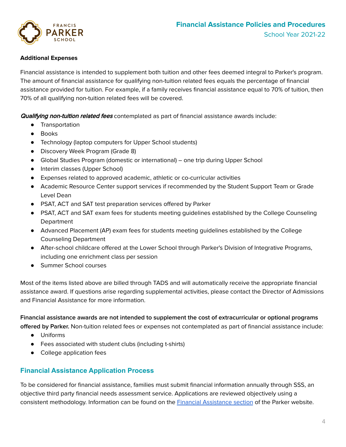



#### **Additional Expenses**

Financial assistance is intended to supplement both tuition and other fees deemed integral to Parker's program. The amount of financial assistance for qualifying non-tuition related fees equals the percentage of financial assistance provided for tuition. For example, if a family receives financial assistance equal to 70% of tuition, then 70% of all qualifying non-tuition related fees will be covered.

**Qualifying non-tuition related fees** contemplated as part of financial assistance awards include:

- Transportation
- Books
- Technology (laptop computers for Upper School students)
- Discovery Week Program (Grade 8)
- Global Studies Program (domestic or international) one trip during Upper School
- Interim classes (Upper School)
- Expenses related to approved academic, athletic or co-curricular activities
- Academic Resource Center support services if recommended by the Student Support Team or Grade Level Dean
- PSAT, ACT and SAT test preparation services offered by Parker
- PSAT, ACT and SAT exam fees for students meeting quidelines established by the College Counseling Department
- Advanced Placement (AP) exam fees for students meeting guidelines established by the College Counseling Department
- After-school childcare offered at the Lower School through Parker's Division of Integrative Programs, including one enrichment class per session
- Summer School courses

Most of the items listed above are billed through TADS and will automatically receive the appropriate financial assistance award. If questions arise regarding supplemental activities, please contact the Director of Admissions and Financial Assistance for more information.

# **Financial assistance awards are not intended to supplement the cost of extracurricular or optional programs**

**offered by Parker.** Non-tuition related fees or expenses not contemplated as part of financial assistance include:

- Uniforms
- Fees associated with student clubs (including t-shirts)
- College application fees

# <span id="page-4-0"></span>**Financial Assistance Application Process**

To be considered for financial assistance, families must submit financial information annually through SSS, an objective third party financial needs assessment service. Applications are reviewed objectively using a consistent methodology. Information can be found on the Financial [Assistance](https://www.francisparker.org/financial-assistance/) section of the Parker website.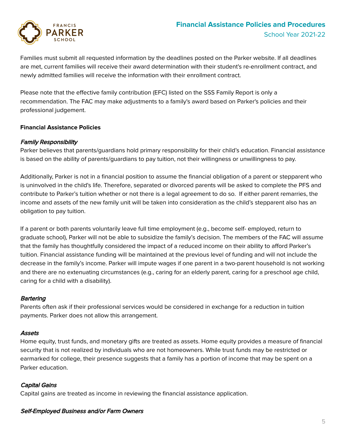

Families must submit all requested information by the deadlines posted on the Parker website. If all deadlines are met, current families will receive their award determination with their student's re-enrollment contract, and newly admitted families will receive the information with their enrollment contract.

Please note that the effective family contribution (EFC) listed on the SSS Family Report is only a recommendation. The FAC may make adjustments to a family's award based on Parker's policies and their professional judgement.

#### **Financial Assistance Policies**

#### Family Responsibility

Parker believes that parents/guardians hold primary responsibility for their child's education. Financial assistance is based on the ability of parents/guardians to pay tuition, not their willingness or unwillingness to pay.

Additionally, Parker is not in a financial position to assume the financial obligation of a parent or stepparent who is uninvolved in the child's life. Therefore, separated or divorced parents will be asked to complete the PFS and contribute to Parker's tuition whether or not there is a legal agreement to do so. If either parent remarries, the income and assets of the new family unit will be taken into consideration as the child's stepparent also has an obligation to pay tuition.

If a parent or both parents voluntarily leave full time employment (e.g., become self- employed, return to graduate school), Parker will not be able to subsidize the family's decision. The members of the FAC will assume that the family has thoughtfully considered the impact of a reduced income on their ability to afford Parker's tuition. Financial assistance funding will be maintained at the previous level of funding and will not include the decrease in the family's income. Parker will impute wages if one parent in a two-parent household is not working and there are no extenuating circumstances (e.g., caring for an elderly parent, caring for a preschool age child, caring for a child with a disability).

#### **Bartering**

Parents often ask if their professional services would be considered in exchange for a reduction in tuition payments. Parker does not allow this arrangement.

#### Assets

Home equity, trust funds, and monetary gifts are treated as assets. Home equity provides a measure of financial security that is not realized by individuals who are not homeowners. While trust funds may be restricted or earmarked for college, their presence suggests that a family has a portion of income that may be spent on a Parker education.

#### Capital Gains

Capital gains are treated as income in reviewing the financial assistance application.

#### Self-Employed Business and/or Farm Owners